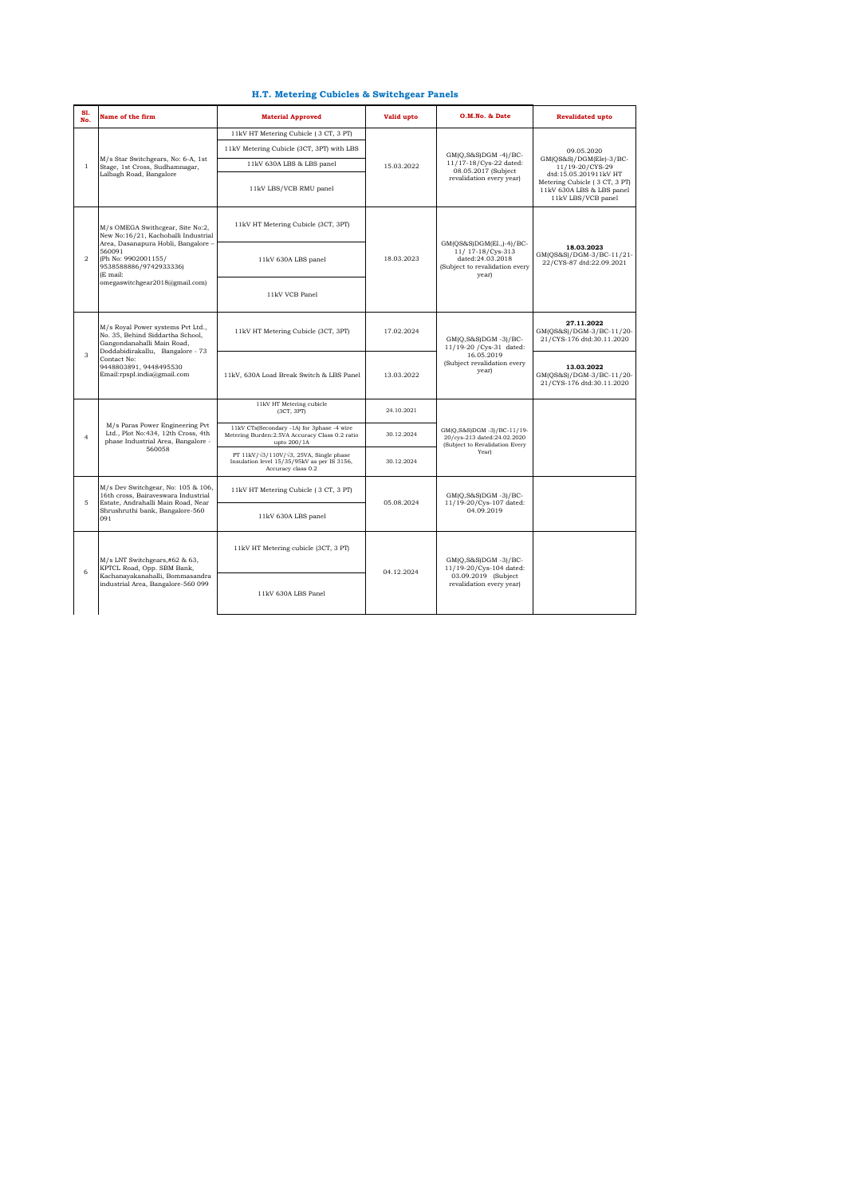| 81.<br>No.     | Name of the firm                                                                                                                                                                                                        | <b>Material Approved</b>                                                                                                    | Valid upto | O.M.No. & Date                                                                                               | <b>Revalidated upto</b>                                                                                   |
|----------------|-------------------------------------------------------------------------------------------------------------------------------------------------------------------------------------------------------------------------|-----------------------------------------------------------------------------------------------------------------------------|------------|--------------------------------------------------------------------------------------------------------------|-----------------------------------------------------------------------------------------------------------|
|                |                                                                                                                                                                                                                         | 11kV HT Metering Cubicle (3 CT, 3 PT)                                                                                       |            |                                                                                                              |                                                                                                           |
|                |                                                                                                                                                                                                                         | 11kV Metering Cubicle (3CT, 3PT) with LBS                                                                                   |            | GM(Q,S&S)DGM -4)/BC-                                                                                         | 09.05.2020                                                                                                |
| $\mathbf{1}$   | M/s Star Switchgears, No: 6-A, 1st<br>Stage, 1st Cross, Sudhamnagar,                                                                                                                                                    | 11kV 630A LBS & LBS panel                                                                                                   | 15.03.2022 | 11/17-18/Cys-22 dated:                                                                                       | GM(QS&S)/DGM(Ele)-3/BC-<br>11/19-20/CYS-29                                                                |
|                | Lalbagh Road, Bangalore                                                                                                                                                                                                 | 11kV LBS/VCB RMU panel                                                                                                      |            | 08.05.2017 (Subject<br>revalidation every year)                                                              | dtd:15.05.201911kV HT<br>Metering Cubicle (3 CT, 3 PT)<br>11kV 630A LBS & LBS panel<br>11kV LBS/VCB panel |
| $\overline{a}$ | M/s OMEGA Swithcgear, Site No:2,<br>New No:16/21, Kachohalli Industrial<br>Area, Dasanapura Hobli, Bangalore -<br>560091<br>(Ph No: 9902001155/<br>9538588886/9742933336)<br>(E mail:<br>omegaswitchgear2018@gmail.com) | 11kV HT Metering Cubicle (3CT, 3PT)                                                                                         |            | GM(QS&S)DGM(El.,)-4)/BC-<br>11/ 17-18/Cys-313<br>dated:24.03.2018<br>(Subject to revalidation every<br>year) |                                                                                                           |
|                |                                                                                                                                                                                                                         | 11kV 630A LBS panel                                                                                                         | 18.03.2023 |                                                                                                              | 18.03.2023<br>GM(QS&S)/DGM-3/BC-11/21-<br>22/CYS-87 dtd:22.09.2021                                        |
|                |                                                                                                                                                                                                                         | 11kV VCB Panel                                                                                                              |            |                                                                                                              |                                                                                                           |
|                | M/s Royal Power systems Pvt Ltd.,<br>No. 35, Behind Siddartha School,<br>Gangondanahalli Main Road,<br>Doddabidirakallu, Bangalore - 73                                                                                 | 11kV HT Metering Cubicle (3CT, 3PT)                                                                                         | 17.02.2024 | GM(Q,S&S)DGM -3)/BC-<br>11/19-20 / Cys-31 dated:                                                             | 27.11.2022<br>GM(QS&S)/DGM-3/BC-11/20-<br>21/CYS-176 dtd:30.11.2020                                       |
| 3              | Contact No:<br>9448803891, 9448495530<br>Email:rpspl.india@gmail.com                                                                                                                                                    | 11kV, 630A Load Break Switch & LBS Panel                                                                                    | 13.03.2022 | 16.05.2019<br>(Subject revalidation every<br>year)                                                           | 13.03.2022<br>GM(QS&S)/DGM-3/BC-11/20-<br>21/CYS-176 dtd:30.11.2020                                       |
|                | M/s Paras Power Engineering Pvt<br>Ltd., Plot No:434, 12th Cross, 4th<br>phase Industrial Area, Bangalore -<br>560058                                                                                                   | 11kV HT Metering cubicle<br>(3CT, 3PT)                                                                                      | 24.10.2021 |                                                                                                              |                                                                                                           |
| $\overline{4}$ |                                                                                                                                                                                                                         | 11kV CTs(Secondary -1A) for 3phase -4 wire<br>Metering Burden: 2.5VA Accuracy Class 0.2 ratio<br>upto 200/1A                | 30.12.2024 | GMIO.S&SIDGM -31/BC-11/19-<br>20/cys-213 dated:24.02.2020<br>(Subject to Revalidation Every                  |                                                                                                           |
|                |                                                                                                                                                                                                                         | PT 11kV/ $\sqrt{3}/110V/\sqrt{3}$ , 25VA, Single phase<br>Insulation level 15/35/95kV as per IS 3156,<br>Accuracy class 0.2 | 30.12.2024 | Year)                                                                                                        |                                                                                                           |
| 5              | M/s Dev Switchgear, No: 105 & 106,<br>16th cross, Bairayeswara Industrial<br>Estate, Andrahalli Main Road, Near<br>Shrushruthi bank, Bangalore-560<br>091                                                               | 11kV HT Metering Cubicle (3 CT, 3 PT)                                                                                       | 05.08.2024 | $GM(O.S&S)DGM -3)/BC-$<br>11/19-20/Cys-107 dated:                                                            |                                                                                                           |
|                |                                                                                                                                                                                                                         | 11kV 630A LBS panel                                                                                                         |            | 04.09.2019                                                                                                   |                                                                                                           |
| 6              | M/s LNT Switchgears,#62 & 63,<br>KPTCL Road, Opp. SBM Bank,<br>Kachanayakanahalli, Bommasandra<br>industrial Area, Bangalore-560 099                                                                                    | 11kV HT Metering cubicle (3CT, 3 PT)                                                                                        |            | GM(Q,S&S)DGM-3)/BC-<br>11/19-20/Cys-104 dated:                                                               |                                                                                                           |
|                |                                                                                                                                                                                                                         | 11kV 630A LBS Panel                                                                                                         | 04.12.2024 | 03.09.2019 (Subject<br>revalidation every year)                                                              |                                                                                                           |

## **H.T. Metering Cubicles & Switchgear Panels**